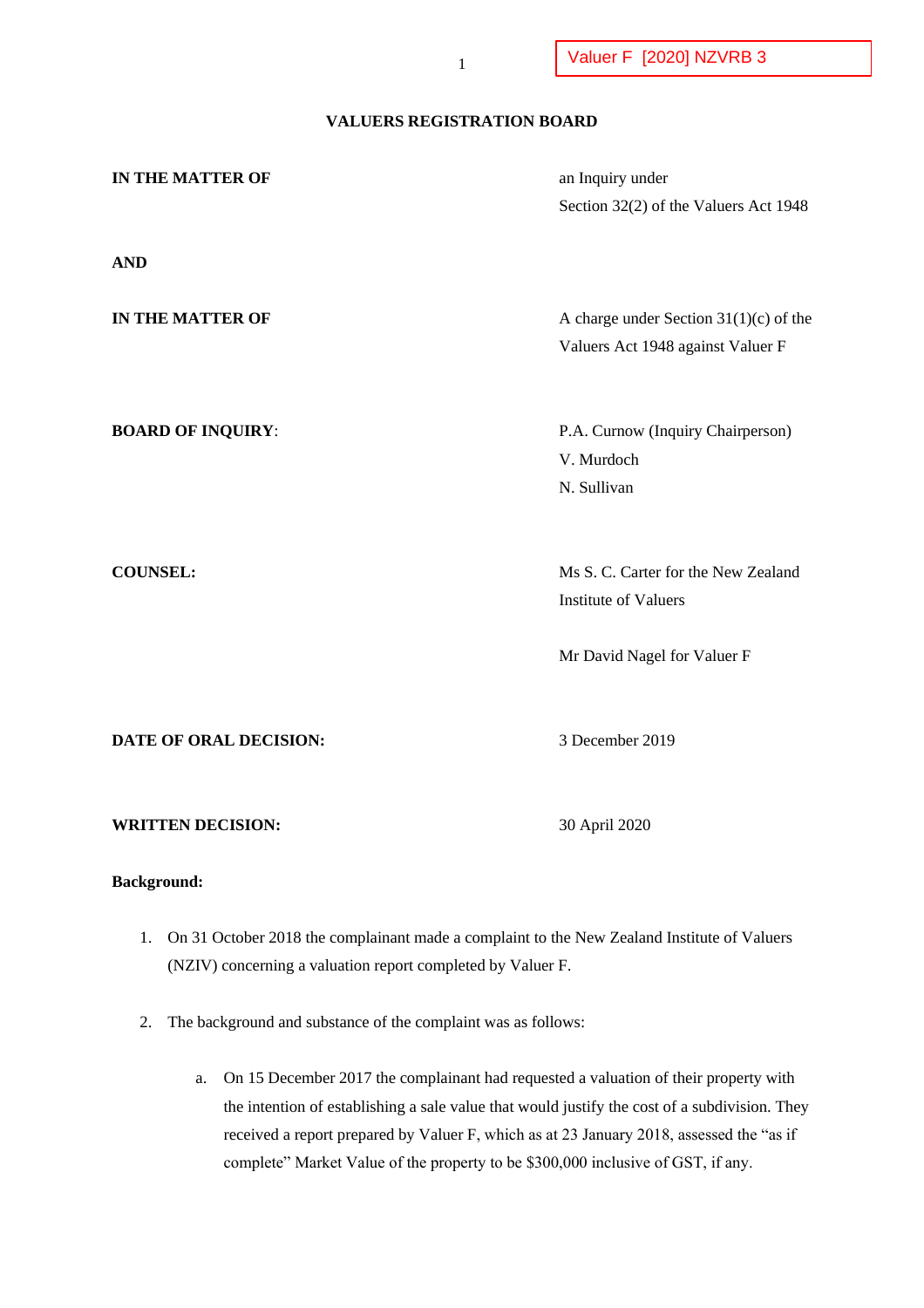# **VALUERS REGISTRATION BOARD**

| IN THE MATTER OF         | an Inquiry under                                |
|--------------------------|-------------------------------------------------|
|                          | Section 32(2) of the Valuers Act 1948           |
|                          |                                                 |
| <b>AND</b>               |                                                 |
|                          |                                                 |
| IN THE MATTER OF         | A charge under Section $31(1)(c)$ of the        |
|                          | Valuers Act 1948 against Valuer F               |
|                          |                                                 |
|                          |                                                 |
| <b>BOARD OF INQUIRY:</b> | P.A. Curnow (Inquiry Chairperson)<br>V. Murdoch |
|                          | N. Sullivan                                     |
|                          |                                                 |
|                          |                                                 |
| <b>COUNSEL:</b>          | Ms S. C. Carter for the New Zealand             |
|                          | <b>Institute of Valuers</b>                     |
|                          |                                                 |
|                          | Mr David Nagel for Valuer F                     |
|                          |                                                 |
|                          |                                                 |
| DATE OF ORAL DECISION:   | 3 December 2019                                 |
|                          |                                                 |
|                          |                                                 |
| <b>WRITTEN DECISION:</b> | 30 April 2020                                   |
|                          |                                                 |

# **Background:**

- 1. On 31 October 2018 the complainant made a complaint to the New Zealand Institute of Valuers (NZIV) concerning a valuation report completed by Valuer F.
- 2. The background and substance of the complaint was as follows:
	- a. On 15 December 2017 the complainant had requested a valuation of their property with the intention of establishing a sale value that would justify the cost of a subdivision. They received a report prepared by Valuer F, which as at 23 January 2018, assessed the "as if complete" Market Value of the property to be \$300,000 inclusive of GST, if any.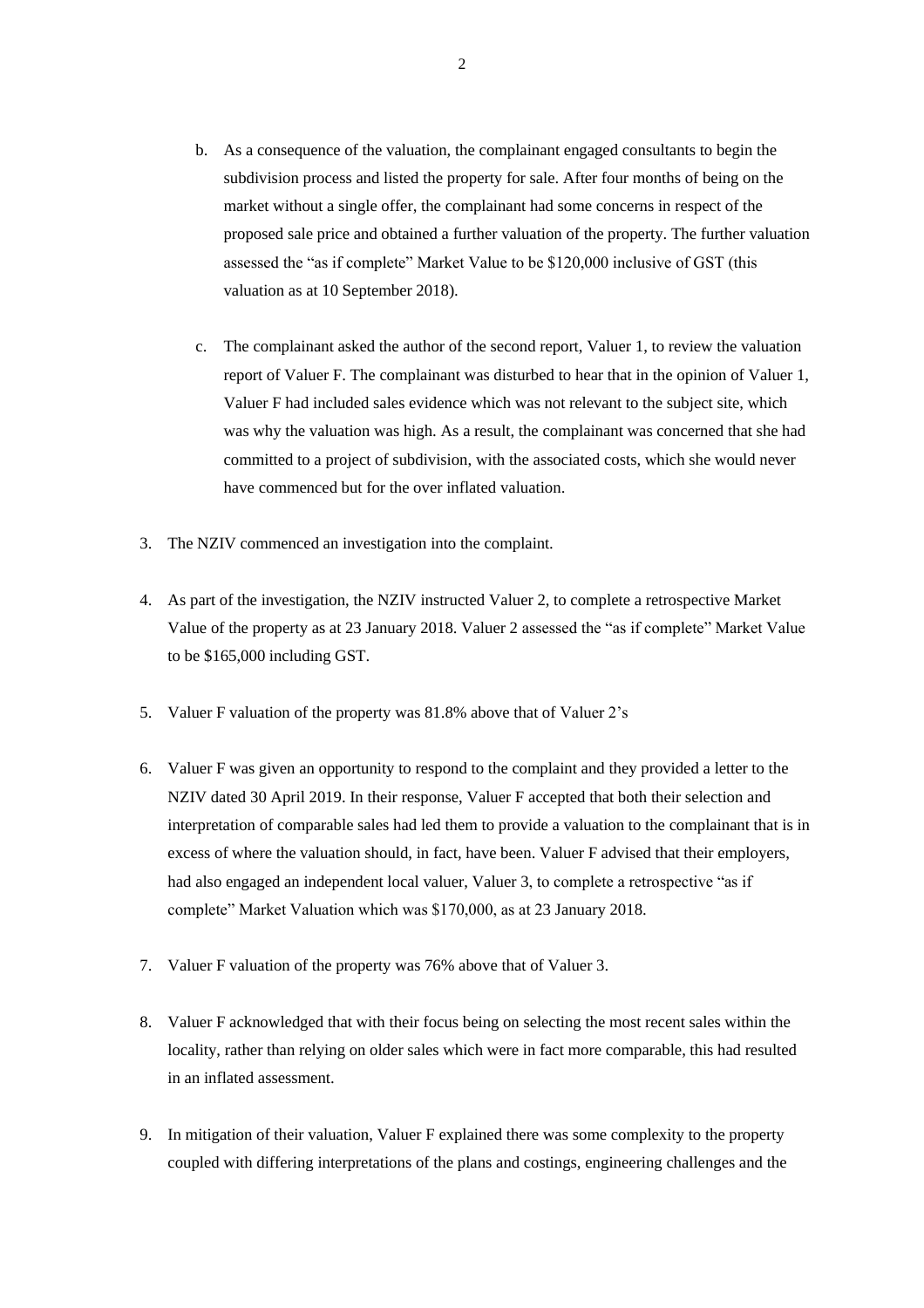- b. As a consequence of the valuation, the complainant engaged consultants to begin the subdivision process and listed the property for sale. After four months of being on the market without a single offer, the complainant had some concerns in respect of the proposed sale price and obtained a further valuation of the property. The further valuation assessed the "as if complete" Market Value to be \$120,000 inclusive of GST (this valuation as at 10 September 2018).
- c. The complainant asked the author of the second report, Valuer 1, to review the valuation report of Valuer F. The complainant was disturbed to hear that in the opinion of Valuer 1, Valuer F had included sales evidence which was not relevant to the subject site, which was why the valuation was high. As a result, the complainant was concerned that she had committed to a project of subdivision, with the associated costs, which she would never have commenced but for the over inflated valuation.
- 3. The NZIV commenced an investigation into the complaint.
- 4. As part of the investigation, the NZIV instructed Valuer 2, to complete a retrospective Market Value of the property as at 23 January 2018. Valuer 2 assessed the "as if complete" Market Value to be \$165,000 including GST.
- 5. Valuer F valuation of the property was 81.8% above that of Valuer 2's
- 6. Valuer F was given an opportunity to respond to the complaint and they provided a letter to the NZIV dated 30 April 2019. In their response, Valuer F accepted that both their selection and interpretation of comparable sales had led them to provide a valuation to the complainant that is in excess of where the valuation should, in fact, have been. Valuer F advised that their employers, had also engaged an independent local valuer, Valuer 3, to complete a retrospective "as if complete" Market Valuation which was \$170,000, as at 23 January 2018.
- 7. Valuer F valuation of the property was 76% above that of Valuer 3.
- 8. Valuer F acknowledged that with their focus being on selecting the most recent sales within the locality, rather than relying on older sales which were in fact more comparable, this had resulted in an inflated assessment.
- 9. In mitigation of their valuation, Valuer F explained there was some complexity to the property coupled with differing interpretations of the plans and costings, engineering challenges and the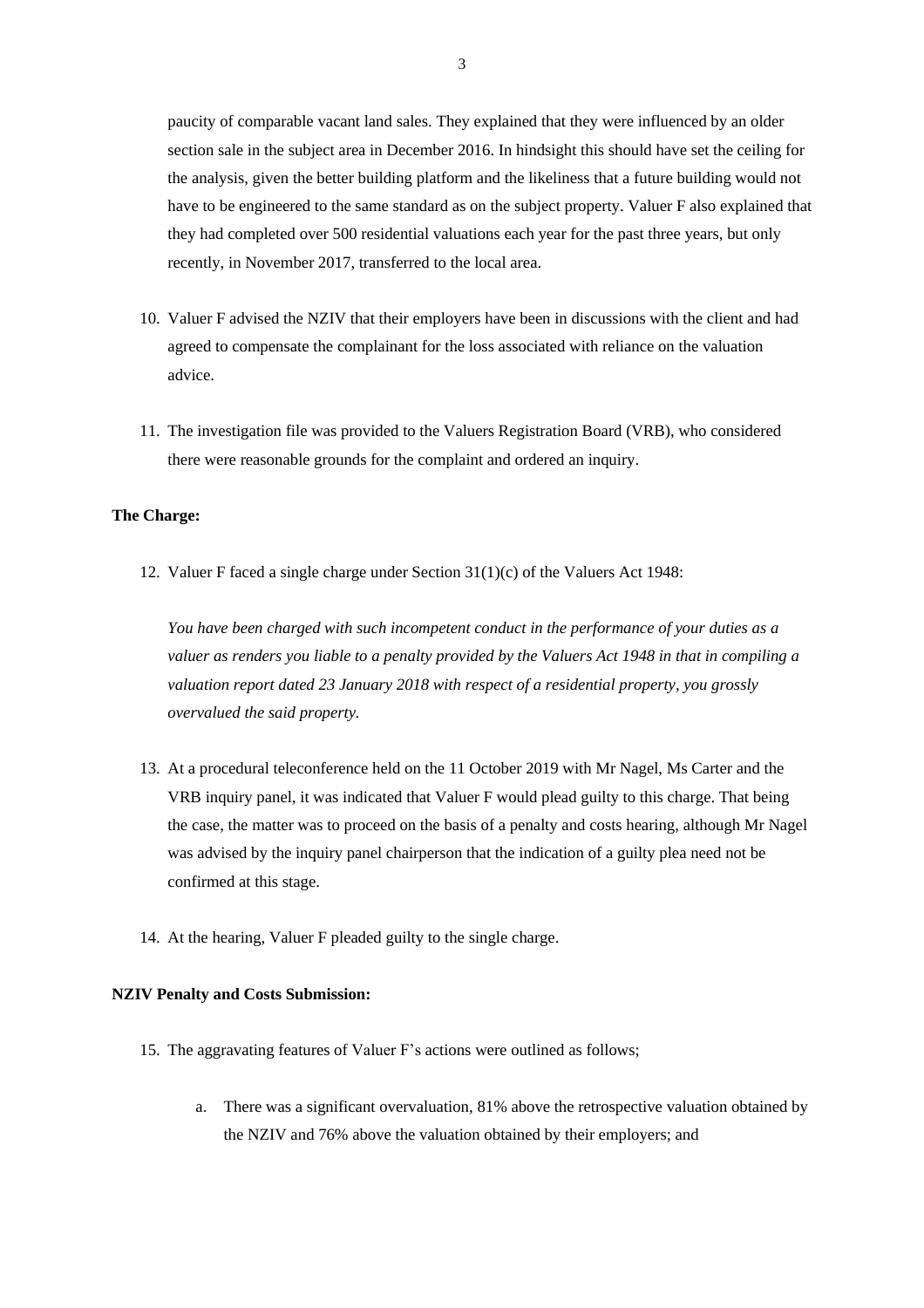paucity of comparable vacant land sales. They explained that they were influenced by an older section sale in the subject area in December 2016. In hindsight this should have set the ceiling for the analysis, given the better building platform and the likeliness that a future building would not have to be engineered to the same standard as on the subject property. Valuer F also explained that they had completed over 500 residential valuations each year for the past three years, but only recently, in November 2017, transferred to the local area.

- 10. Valuer F advised the NZIV that their employers have been in discussions with the client and had agreed to compensate the complainant for the loss associated with reliance on the valuation advice.
- 11. The investigation file was provided to the Valuers Registration Board (VRB), who considered there were reasonable grounds for the complaint and ordered an inquiry.

### **The Charge:**

12. Valuer F faced a single charge under Section 31(1)(c) of the Valuers Act 1948:

*You have been charged with such incompetent conduct in the performance of your duties as a valuer as renders you liable to a penalty provided by the Valuers Act 1948 in that in compiling a valuation report dated 23 January 2018 with respect of a residential property, you grossly overvalued the said property.*

- 13. At a procedural teleconference held on the 11 October 2019 with Mr Nagel, Ms Carter and the VRB inquiry panel, it was indicated that Valuer F would plead guilty to this charge. That being the case, the matter was to proceed on the basis of a penalty and costs hearing, although Mr Nagel was advised by the inquiry panel chairperson that the indication of a guilty plea need not be confirmed at this stage.
- 14. At the hearing, Valuer F pleaded guilty to the single charge.

#### **NZIV Penalty and Costs Submission:**

- 15. The aggravating features of Valuer F's actions were outlined as follows;
	- a. There was a significant overvaluation, 81% above the retrospective valuation obtained by the NZIV and 76% above the valuation obtained by their employers; and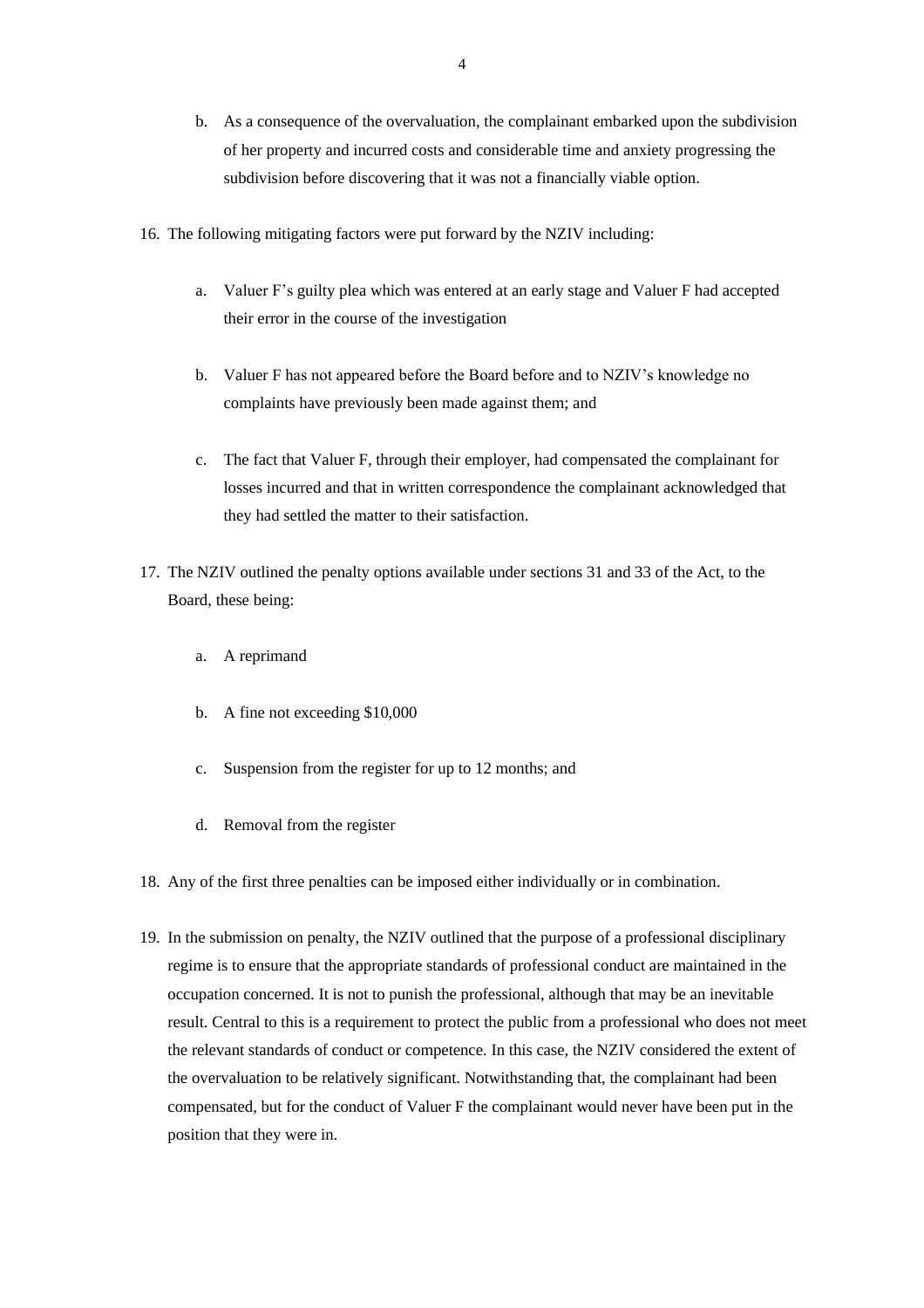- b. As a consequence of the overvaluation, the complainant embarked upon the subdivision of her property and incurred costs and considerable time and anxiety progressing the subdivision before discovering that it was not a financially viable option.
- 16. The following mitigating factors were put forward by the NZIV including:
	- a. Valuer F's guilty plea which was entered at an early stage and Valuer F had accepted their error in the course of the investigation
	- b. Valuer F has not appeared before the Board before and to NZIV's knowledge no complaints have previously been made against them; and
	- c. The fact that Valuer F, through their employer, had compensated the complainant for losses incurred and that in written correspondence the complainant acknowledged that they had settled the matter to their satisfaction.
- 17. The NZIV outlined the penalty options available under sections 31 and 33 of the Act, to the Board, these being:
	- a. A reprimand
	- b. A fine not exceeding \$10,000
	- c. Suspension from the register for up to 12 months; and
	- d. Removal from the register
- 18. Any of the first three penalties can be imposed either individually or in combination.
- 19. In the submission on penalty, the NZIV outlined that the purpose of a professional disciplinary regime is to ensure that the appropriate standards of professional conduct are maintained in the occupation concerned. It is not to punish the professional, although that may be an inevitable result. Central to this is a requirement to protect the public from a professional who does not meet the relevant standards of conduct or competence. In this case, the NZIV considered the extent of the overvaluation to be relatively significant. Notwithstanding that, the complainant had been compensated, but for the conduct of Valuer F the complainant would never have been put in the position that they were in.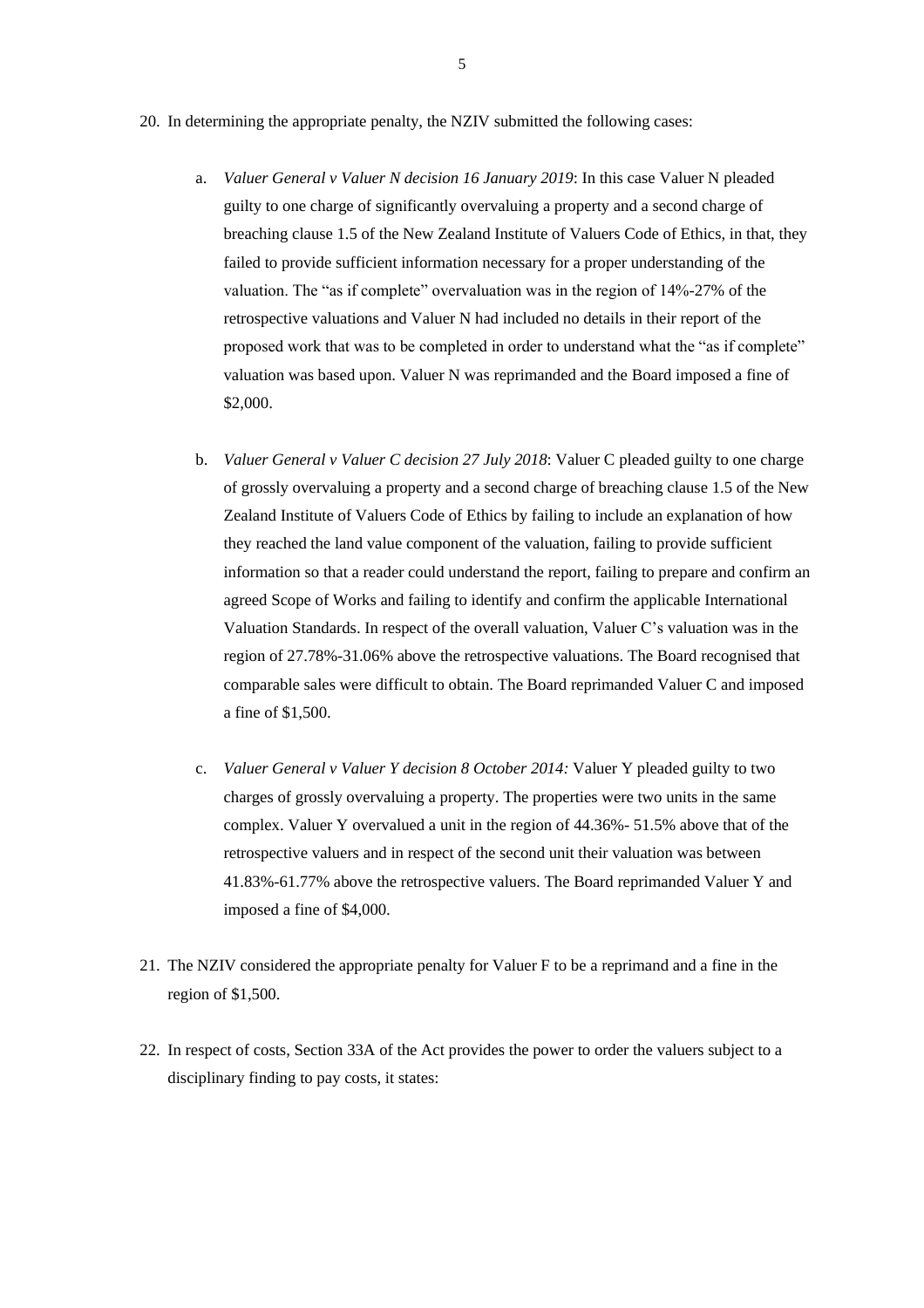- 20. In determining the appropriate penalty, the NZIV submitted the following cases:
	- a. *Valuer General v Valuer N decision 16 January 2019*: In this case Valuer N pleaded guilty to one charge of significantly overvaluing a property and a second charge of breaching clause 1.5 of the New Zealand Institute of Valuers Code of Ethics, in that, they failed to provide sufficient information necessary for a proper understanding of the valuation. The "as if complete" overvaluation was in the region of 14%-27% of the retrospective valuations and Valuer N had included no details in their report of the proposed work that was to be completed in order to understand what the "as if complete" valuation was based upon. Valuer N was reprimanded and the Board imposed a fine of \$2,000.
	- b. *Valuer General v Valuer C decision 27 July 2018*: Valuer C pleaded guilty to one charge of grossly overvaluing a property and a second charge of breaching clause 1.5 of the New Zealand Institute of Valuers Code of Ethics by failing to include an explanation of how they reached the land value component of the valuation, failing to provide sufficient information so that a reader could understand the report, failing to prepare and confirm an agreed Scope of Works and failing to identify and confirm the applicable International Valuation Standards. In respect of the overall valuation, Valuer C's valuation was in the region of 27.78%-31.06% above the retrospective valuations. The Board recognised that comparable sales were difficult to obtain. The Board reprimanded Valuer C and imposed a fine of \$1,500.
	- c. *Valuer General v Valuer Y decision 8 October 2014:* Valuer Y pleaded guilty to two charges of grossly overvaluing a property. The properties were two units in the same complex. Valuer Y overvalued a unit in the region of 44.36%- 51.5% above that of the retrospective valuers and in respect of the second unit their valuation was between 41.83%-61.77% above the retrospective valuers. The Board reprimanded Valuer Y and imposed a fine of \$4,000.
- 21. The NZIV considered the appropriate penalty for Valuer F to be a reprimand and a fine in the region of \$1,500.
- 22. In respect of costs, Section 33A of the Act provides the power to order the valuers subject to a disciplinary finding to pay costs, it states: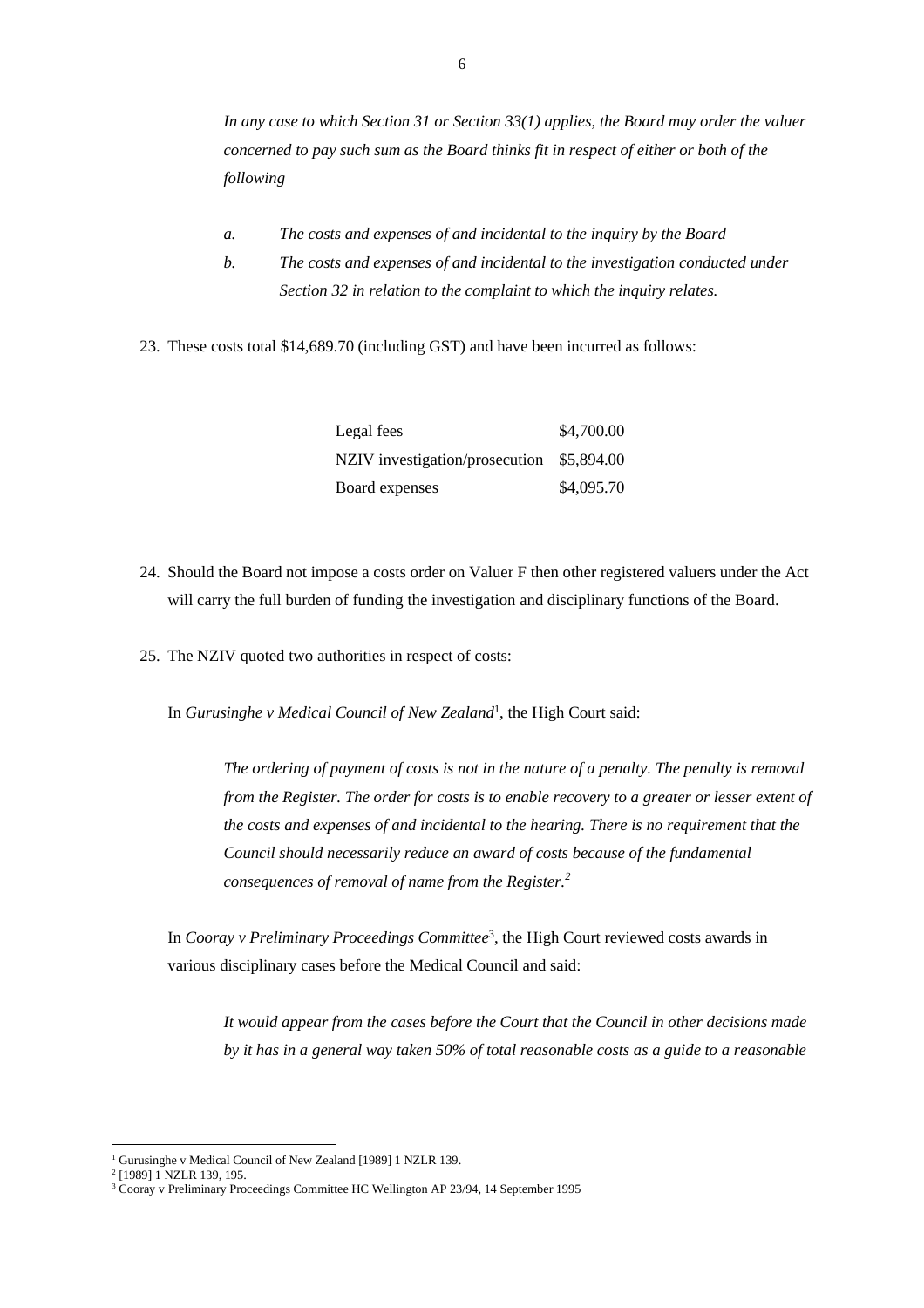*In any case to which Section 31 or Section 33(1) applies, the Board may order the valuer concerned to pay such sum as the Board thinks fit in respect of either or both of the following*

- *a. The costs and expenses of and incidental to the inquiry by the Board*
- *b. The costs and expenses of and incidental to the investigation conducted under Section 32 in relation to the complaint to which the inquiry relates.*
- 23. These costs total \$14,689.70 (including GST) and have been incurred as follows:

| Legal fees                                | \$4,700.00 |
|-------------------------------------------|------------|
| NZIV investigation/prosecution \$5,894.00 |            |
| Board expenses                            | \$4,095.70 |

- 24. Should the Board not impose a costs order on Valuer F then other registered valuers under the Act will carry the full burden of funding the investigation and disciplinary functions of the Board.
- 25. The NZIV quoted two authorities in respect of costs:

In *Gurusinghe v Medical Council of New Zealand*<sup>1</sup> , the High Court said:

*The ordering of payment of costs is not in the nature of a penalty. The penalty is removal from the Register. The order for costs is to enable recovery to a greater or lesser extent of the costs and expenses of and incidental to the hearing. There is no requirement that the Council should necessarily reduce an award of costs because of the fundamental consequences of removal of name from the Register.<sup>2</sup>*

In *Cooray v Preliminary Proceedings Committee*<sup>3</sup> , the High Court reviewed costs awards in various disciplinary cases before the Medical Council and said:

*It would appear from the cases before the Court that the Council in other decisions made by it has in a general way taken 50% of total reasonable costs as a guide to a reasonable* 

<sup>&</sup>lt;sup>1</sup> Gurusinghe v Medical Council of New Zealand [1989] 1 NZLR 139.

<sup>2</sup> [1989] 1 NZLR 139, 195.

<sup>&</sup>lt;sup>3</sup> Cooray v Preliminary Proceedings Committee HC Wellington AP 23/94, 14 September 1995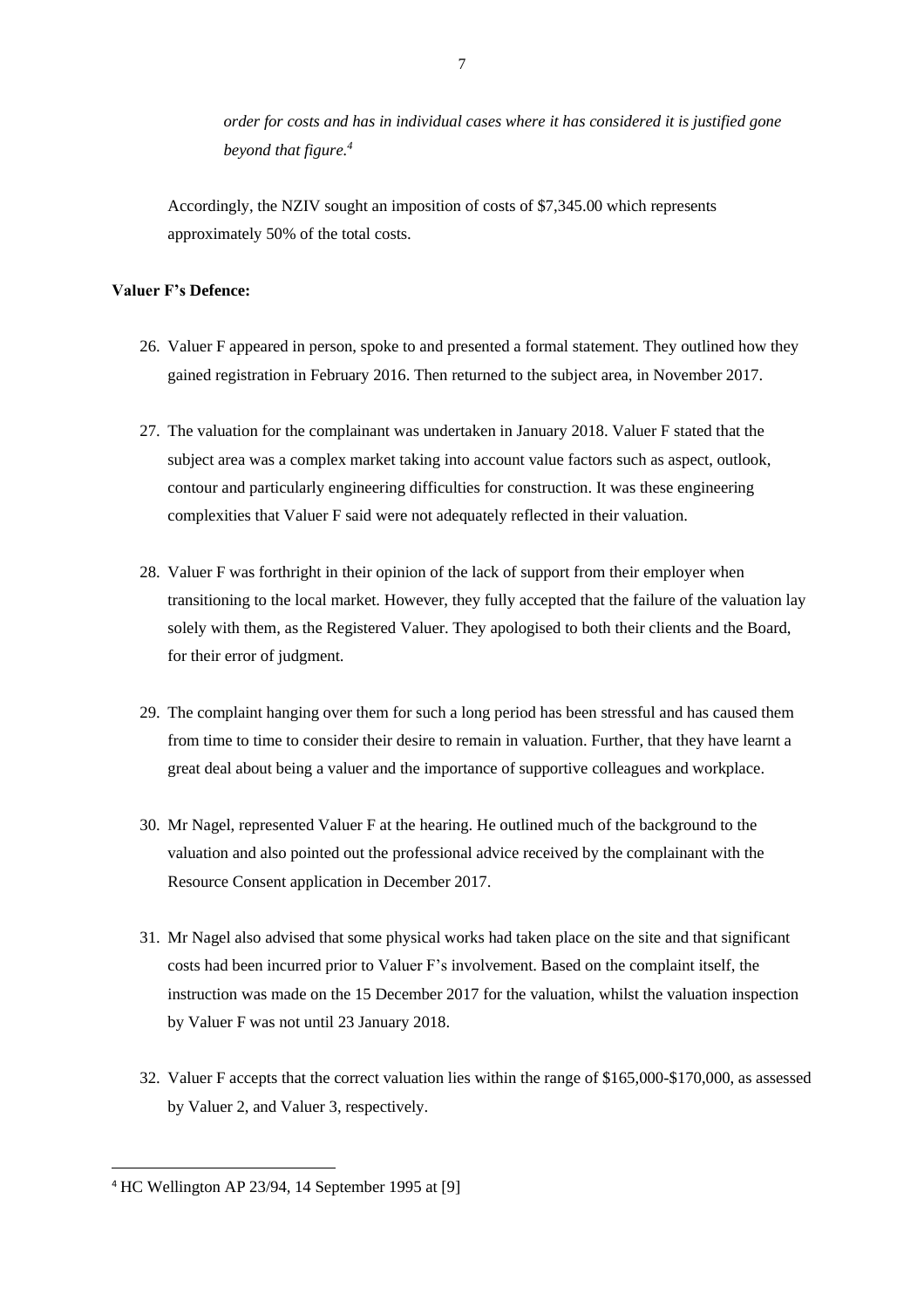*order for costs and has in individual cases where it has considered it is justified gone beyond that figure. 4*

Accordingly, the NZIV sought an imposition of costs of \$7,345.00 which represents approximately 50% of the total costs.

### **Valuer F's Defence:**

- 26. Valuer F appeared in person, spoke to and presented a formal statement. They outlined how they gained registration in February 2016. Then returned to the subject area, in November 2017.
- 27. The valuation for the complainant was undertaken in January 2018. Valuer F stated that the subject area was a complex market taking into account value factors such as aspect, outlook, contour and particularly engineering difficulties for construction. It was these engineering complexities that Valuer F said were not adequately reflected in their valuation.
- 28. Valuer F was forthright in their opinion of the lack of support from their employer when transitioning to the local market. However, they fully accepted that the failure of the valuation lay solely with them, as the Registered Valuer. They apologised to both their clients and the Board, for their error of judgment.
- 29. The complaint hanging over them for such a long period has been stressful and has caused them from time to time to consider their desire to remain in valuation. Further, that they have learnt a great deal about being a valuer and the importance of supportive colleagues and workplace.
- 30. Mr Nagel, represented Valuer F at the hearing. He outlined much of the background to the valuation and also pointed out the professional advice received by the complainant with the Resource Consent application in December 2017.
- 31. Mr Nagel also advised that some physical works had taken place on the site and that significant costs had been incurred prior to Valuer F's involvement. Based on the complaint itself, the instruction was made on the 15 December 2017 for the valuation, whilst the valuation inspection by Valuer F was not until 23 January 2018.
- 32. Valuer F accepts that the correct valuation lies within the range of \$165,000-\$170,000, as assessed by Valuer 2, and Valuer 3, respectively.

<sup>4</sup> HC Wellington AP 23/94, 14 September 1995 at [9]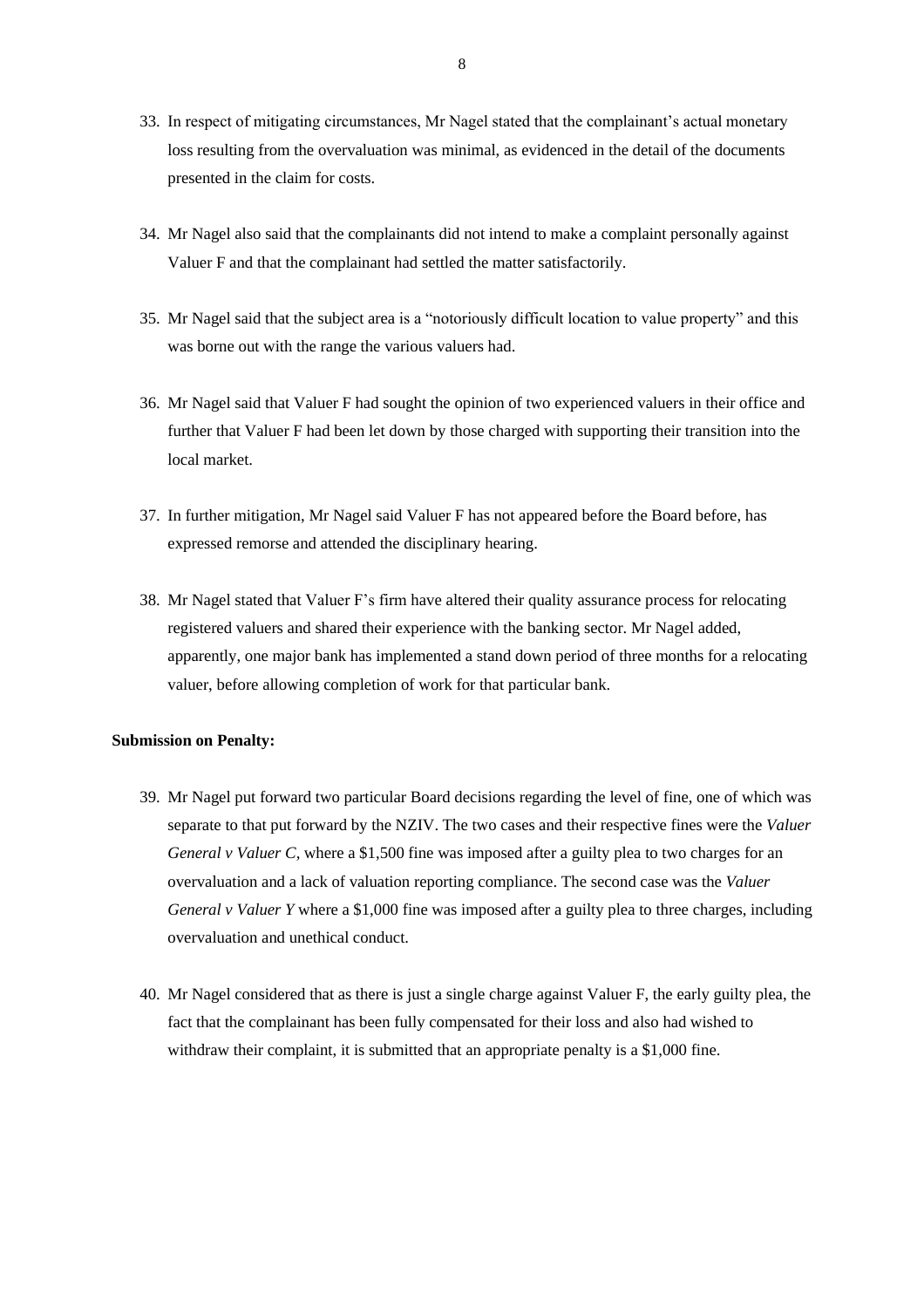- 33. In respect of mitigating circumstances, Mr Nagel stated that the complainant's actual monetary loss resulting from the overvaluation was minimal, as evidenced in the detail of the documents presented in the claim for costs.
- 34. Mr Nagel also said that the complainants did not intend to make a complaint personally against Valuer F and that the complainant had settled the matter satisfactorily.
- 35. Mr Nagel said that the subject area is a "notoriously difficult location to value property" and this was borne out with the range the various valuers had.
- 36. Mr Nagel said that Valuer F had sought the opinion of two experienced valuers in their office and further that Valuer F had been let down by those charged with supporting their transition into the local market.
- 37. In further mitigation, Mr Nagel said Valuer F has not appeared before the Board before, has expressed remorse and attended the disciplinary hearing.
- 38. Mr Nagel stated that Valuer F's firm have altered their quality assurance process for relocating registered valuers and shared their experience with the banking sector. Mr Nagel added, apparently, one major bank has implemented a stand down period of three months for a relocating valuer, before allowing completion of work for that particular bank.

#### **Submission on Penalty:**

- 39. Mr Nagel put forward two particular Board decisions regarding the level of fine, one of which was separate to that put forward by the NZIV. The two cases and their respective fines were the *Valuer General v Valuer C,* where a \$1,500 fine was imposed after a guilty plea to two charges for an overvaluation and a lack of valuation reporting compliance. The second case was the *Valuer General v Valuer Y* where a \$1,000 fine was imposed after a guilty plea to three charges, including overvaluation and unethical conduct.
- 40. Mr Nagel considered that as there is just a single charge against Valuer F, the early guilty plea, the fact that the complainant has been fully compensated for their loss and also had wished to withdraw their complaint, it is submitted that an appropriate penalty is a \$1,000 fine.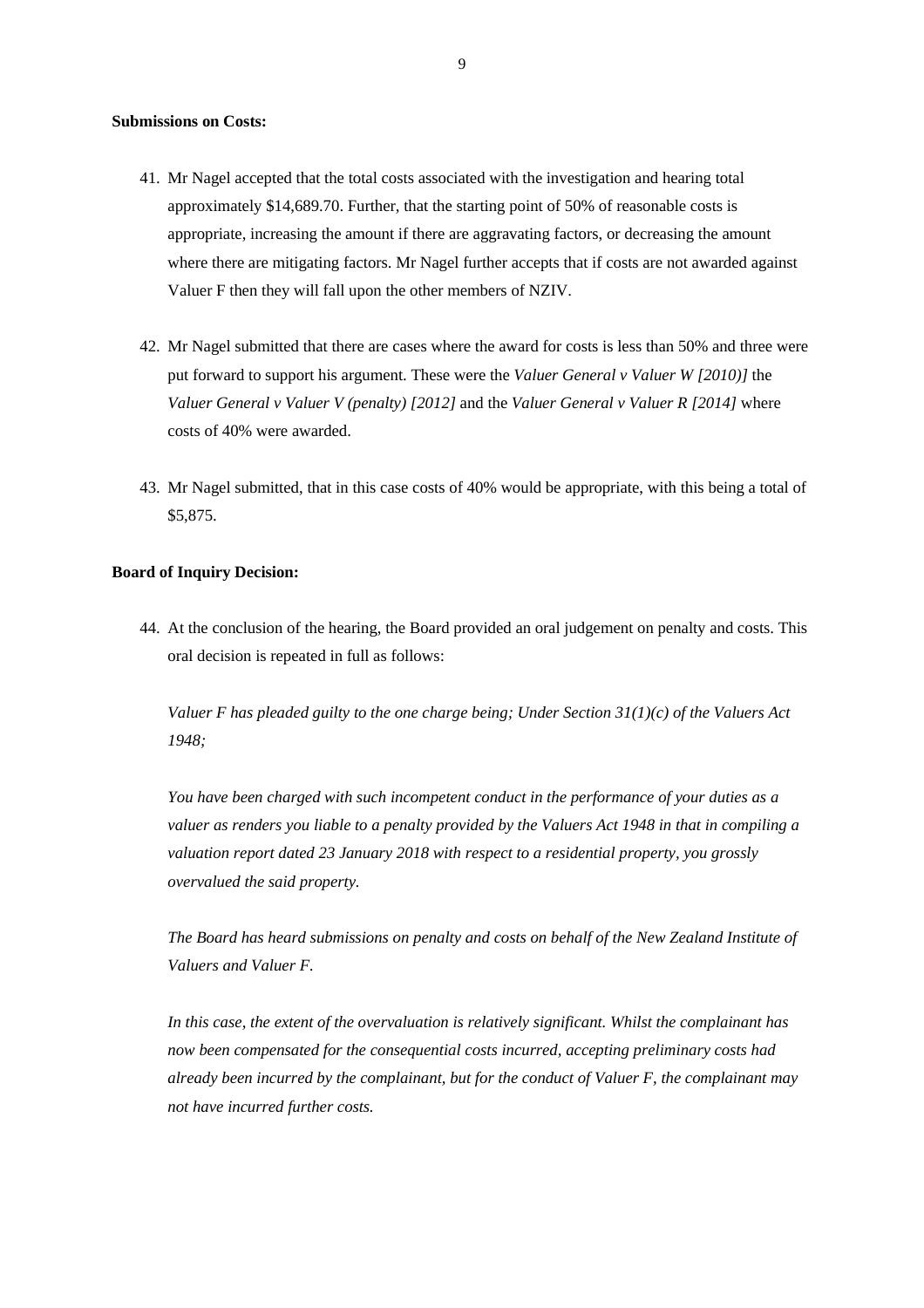#### **Submissions on Costs:**

- 41. Mr Nagel accepted that the total costs associated with the investigation and hearing total approximately \$14,689.70. Further, that the starting point of 50% of reasonable costs is appropriate, increasing the amount if there are aggravating factors, or decreasing the amount where there are mitigating factors. Mr Nagel further accepts that if costs are not awarded against Valuer F then they will fall upon the other members of NZIV.
- 42. Mr Nagel submitted that there are cases where the award for costs is less than 50% and three were put forward to support his argument. These were the *Valuer General v Valuer W [2010)]* the *Valuer General v Valuer V (penalty) [2012]* and the *Valuer General v Valuer R [2014]* where costs of 40% were awarded.
- 43. Mr Nagel submitted, that in this case costs of 40% would be appropriate, with this being a total of \$5,875.

#### **Board of Inquiry Decision:**

44. At the conclusion of the hearing, the Board provided an oral judgement on penalty and costs. This oral decision is repeated in full as follows:

*Valuer F has pleaded guilty to the one charge being; Under Section 31(1)(c) of the Valuers Act 1948;*

*You have been charged with such incompetent conduct in the performance of your duties as a valuer as renders you liable to a penalty provided by the Valuers Act 1948 in that in compiling a valuation report dated 23 January 2018 with respect to a residential property, you grossly overvalued the said property.*

*The Board has heard submissions on penalty and costs on behalf of the New Zealand Institute of Valuers and Valuer F.*

*In this case, the extent of the overvaluation is relatively significant. Whilst the complainant has now been compensated for the consequential costs incurred, accepting preliminary costs had already been incurred by the complainant, but for the conduct of Valuer F, the complainant may not have incurred further costs.*